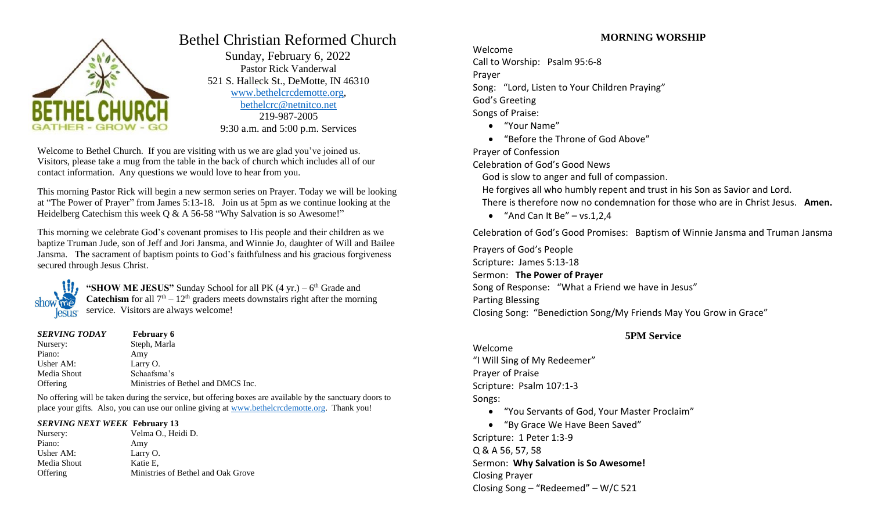

# Bethel Christian Reformed Church

 Sunday, February 6, 2022 Pastor Rick Vanderwal 521 S. Halleck St., DeMotte, IN 46310 [www.bethelcrcdemotte.org,](http://www.bethelcrcdemotte.org/) [bethelcrc@netnitco.net](mailto:bethelcrc@netnitco.net) 219-987-2005 9:30 a.m. and 5:00 p.m. Services

Welcome to Bethel Church. If you are visiting with us we are glad you've joined us. Visitors, please take a mug from the table in the back of church which includes all of our contact information. Any questions we would love to hear from you.

This morning Pastor Rick will begin a new sermon series on Prayer. Today we will be looking at "The Power of Prayer" from James 5:13-18. Join us at 5pm as we continue looking at the Heidelberg Catechism this week Q & A 56-58 "Why Salvation is so Awesome!"

This morning we celebrate God's covenant promises to His people and their children as we baptize Truman Jude, son of Jeff and Jori Jansma, and Winnie Jo, daughter of Will and Bailee Jansma. The sacrament of baptism points to God's faithfulness and his gracious forgiveness secured through Jesus Christ.



"SHOW ME JESUS" Sunday School for all PK (4 yr.) – 6<sup>th</sup> Grade and **Catechism** for all  $7<sup>th</sup> - 12<sup>th</sup>$  graders meets downstairs right after the morning service. Visitors are always welcome!

| <b>SERVING TODAY</b> | <b>February 6</b>                  |
|----------------------|------------------------------------|
| Nursery:             | Steph, Marla                       |
| Piano:               | Amy                                |
| Usher $AM:$          | Larry O.                           |
| Media Shout          | Schaafsma's                        |
| Offering             | Ministries of Bethel and DMCS Inc. |

No offering will be taken during the service, but offering boxes are available by the sanctuary doors to place your gifts. Also, you can use our online giving at [www.bethelcrcdemotte.org.](http://www.bethelcrcdemotte.org/) Thank you!

## *SERVING NEXT WEEK* **February 13**

| Nursery:    | Velma O., Heidi D.                 |
|-------------|------------------------------------|
| Piano:      | Amy                                |
| Usher AM:   | Larry O.                           |
| Media Shout | Katie E.                           |
| Offering    | Ministries of Bethel and Oak Grove |
|             |                                    |

# **MORNING WORSHIP**

# Welcome

Call to Worship: Psalm 95:6-8 Prayer Song: "Lord, Listen to Your Children Praying" God's Greeting Songs of Praise:

- "Your Name"
- "Before the Throne of God Above"
- Prayer of Confession

Celebration of God's Good News

God is slow to anger and full of compassion.

He forgives all who humbly repent and trust in his Son as Savior and Lord.

There is therefore now no condemnation for those who are in Christ Jesus. **Amen.**

• "And Can It Be"  $-$  vs.1,2,4

Celebration of God's Good Promises: Baptism of Winnie Jansma and Truman Jansma

Prayers of God's People Scripture: James 5:13-18 Sermon: **The Power of Prayer** Song of Response: "What a Friend we have in Jesus" Parting Blessing Closing Song: "Benediction Song/My Friends May You Grow in Grace"

# **5PM Service**

Welcome "I Will Sing of My Redeemer" Prayer of Praise Scripture: Psalm 107:1-3 Songs:

"You Servants of God, Your Master Proclaim"

 "By Grace We Have Been Saved" Scripture: 1 Peter 1:3-9 Q & A 56, 57, 58 Sermon: **Why Salvation is So Awesome!** Closing Prayer Closing Song – "Redeemed" – W/C 521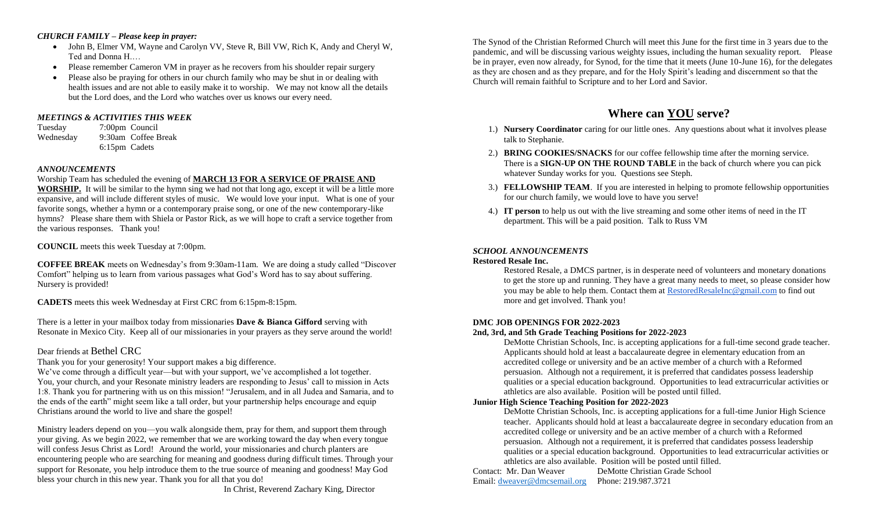#### *CHURCH FAMILY – Please keep in prayer:*

- John B, Elmer VM, Wayne and Carolyn VV, Steve R, Bill VW, Rich K, Andy and Cheryl W, Ted and Donna H.…
- Please remember Cameron VM in prayer as he recovers from his shoulder repair surgery
- Please also be praying for others in our church family who may be shut in or dealing with health issues and are not able to easily make it to worship. We may not know all the details but the Lord does, and the Lord who watches over us knows our every need.

## *MEETINGS & ACTIVITIES THIS WEEK*

Tuesday 7:00pm Council Wednesday 9:30am Coffee Break 6:15pm Cadets

## *ANNOUNCEMENTS*

#### Worship Team has scheduled the evening of **MARCH 13 FOR A SERVICE OF PRAISE AND**

**WORSHIP.** It will be similar to the hymn sing we had not that long ago, except it will be a little more expansive, and will include different styles of music. We would love your input. What is one of your favorite songs, whether a hymn or a contemporary praise song, or one of the new contemporary-like hymns? Please share them with Shiela or Pastor Rick, as we will hope to craft a service together from the various responses. Thank you!

**COUNCIL** meets this week Tuesday at 7:00pm.

**COFFEE BREAK** meets on Wednesday's from 9:30am-11am. We are doing a study called "Discover Comfort" helping us to learn from various passages what God's Word has to say about suffering. Nursery is provided!

**CADETS** meets this week Wednesday at First CRC from 6:15pm-8:15pm.

There is a letter in your mailbox today from missionaries **Dave & Bianca Gifford** serving with Resonate in Mexico City. Keep all of our missionaries in your prayers as they serve around the world!

## Dear friends at Bethel CRC

Thank you for your generosity! Your support makes a big difference.

We've come through a difficult year—but with your support, we've accomplished a lot together. You, your church, and your Resonate ministry leaders are responding to Jesus' call to mission in Acts 1:8. Thank you for partnering with us on this mission! "Jerusalem, and in all Judea and Samaria, and to the ends of the earth" might seem like a tall order, but your partnership helps encourage and equip Christians around the world to live and share the gospel!

Ministry leaders depend on you—you walk alongside them, pray for them, and support them through your giving. As we begin 2022, we remember that we are working toward the day when every tongue will confess Jesus Christ as Lord! Around the world, your missionaries and church planters are encountering people who are searching for meaning and goodness during difficult times. Through your support for Resonate, you help introduce them to the true source of meaning and goodness! May God bless your church in this new year. Thank you for all that you do!

In Christ, Reverend Zachary King, Director

The Synod of the Christian Reformed Church will meet this June for the first time in 3 years due to the pandemic, and will be discussing various weighty issues, including the human sexuality report. Please be in prayer, even now already, for Synod, for the time that it meets (June 10-June 16), for the delegates as they are chosen and as they prepare, and for the Holy Spirit's leading and discernment so that the Church will remain faithful to Scripture and to her Lord and Savior.

# **Where can YOU serve?**

- 1.) **Nursery Coordinator** caring for our little ones. Any questions about what it involves please talk to Stephanie.
- 2.) **BRING COOKIES/SNACKS** for our coffee fellowship time after the morning service. There is a **SIGN-UP ON THE ROUND TABLE** in the back of church where you can pick whatever Sunday works for you. Questions see Steph.
- 3.) **FELLOWSHIP TEAM**. If you are interested in helping to promote fellowship opportunities for our church family, we would love to have you serve!
- 4.) **IT person** to help us out with the live streaming and some other items of need in the IT department. This will be a paid position. Talk to Russ VM

## *SCHOOL ANNOUNCEMENTS*

#### **Restored Resale Inc.**

Restored Resale, a DMCS partner, is in desperate need of volunteers and monetary donations to get the store up and running. They have a great many needs to meet, so please consider how you may be able to help them. Contact them at [RestoredResaleInc@gmail.com](mailto:RestoredResaleInc@gmail.com) to find out more and get involved. Thank you!

## **DMC JOB OPENINGS FOR 2022-2023**

## **2nd, 3rd, and 5th Grade Teaching Positions for 2022-2023**

DeMotte Christian Schools, Inc. is accepting applications for a full-time second grade teacher. Applicants should hold at least a baccalaureate degree in elementary education from an accredited college or university and be an active member of a church with a Reformed persuasion. Although not a requirement, it is preferred that candidates possess leadership qualities or a special education background. Opportunities to lead extracurricular activities or athletics are also available. Position will be posted until filled.

## **Junior High Science Teaching Position for 2022-2023**

DeMotte Christian Schools, Inc. is accepting applications for a full-time Junior High Science teacher. Applicants should hold at least a baccalaureate degree in secondary education from an accredited college or university and be an active member of a church with a Reformed persuasion. Although not a requirement, it is preferred that candidates possess leadership qualities or a special education background. Opportunities to lead extracurricular activities or athletics are also available. Position will be posted until filled.

Contact: Mr. Dan Weaver DeMotte Christian Grade School Email: [dweaver@dmcsemail.org](mailto:dweaver@dmcsemail.org) Phone: 219.987.3721